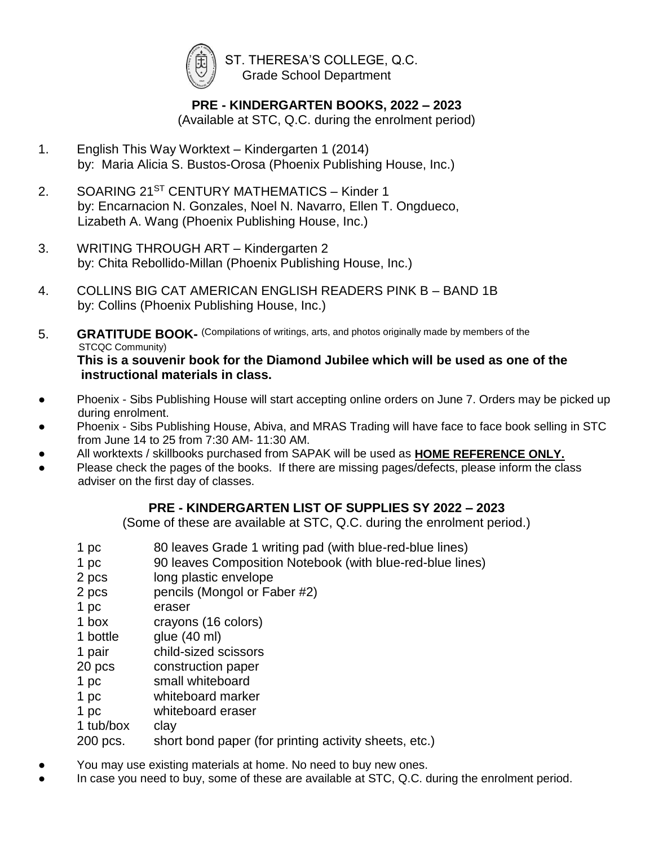

 ST. THERESA'S COLLEGE, Q.C. Grade School Department

## **PRE - KINDERGARTEN BOOKS, 2022 – 2023**

(Available at STC, Q.C. during the enrolment period)

- 1. English This Way Worktext Kindergarten 1 (2014) by: Maria Alicia S. Bustos-Orosa (Phoenix Publishing House, Inc.)
- 2. SOARING 21<sup>ST</sup> CENTURY MATHEMATICS Kinder 1 by: Encarnacion N. Gonzales, Noel N. Navarro, Ellen T. Ongdueco, Lizabeth A. Wang (Phoenix Publishing House, Inc.)
- 3. WRITING THROUGH ART Kindergarten 2 by: Chita Rebollido-Millan (Phoenix Publishing House, Inc.)
- 4. COLLINS BIG CAT AMERICAN ENGLISH READERS PINK B BAND 1B by: Collins (Phoenix Publishing House, Inc.)
- 5. **GRATITUDE BOOK-** (Compilations of writings, arts, and photos originally made by members of the STCQC Community) **This is a souvenir book for the Diamond Jubilee which will be used as one of the instructional materials in class.**
- Phoenix Sibs Publishing House will start accepting online orders on June 7. Orders may be picked up during enrolment.
- Phoenix Sibs Publishing House, Abiva, and MRAS Trading will have face to face book selling in STC from June 14 to 25 from 7:30 AM- 11:30 AM.
- All worktexts / skillbooks purchased from SAPAK will be used as **HOME REFERENCE ONLY.**
- Please check the pages of the books. If there are missing pages/defects, please inform the class adviser on the first day of classes.

## **PRE - KINDERGARTEN LIST OF SUPPLIES SY 2022 – 2023**

(Some of these are available at STC, Q.C. during the enrolment period.)

- 1 pc 80 leaves Grade 1 writing pad (with blue-red-blue lines)
- 1 pc 90 leaves Composition Notebook (with blue-red-blue lines)
- 2 pcs long plastic envelope
- 2 pcs pencils (Mongol or Faber #2)
- 1 pc eraser
- 1 box crayons (16 colors)
- 1 bottle glue (40 ml)
- 1 pair child-sized scissors
- 20 pcs construction paper
- 1 pc small whiteboard
- 1 pc whiteboard marker
- 1 pc whiteboard eraser
- 1 tub/box clay

200 pcs. short bond paper (for printing activity sheets, etc.)

- You may use existing materials at home. No need to buy new ones.
- In case you need to buy, some of these are available at STC, Q.C. during the enrolment period.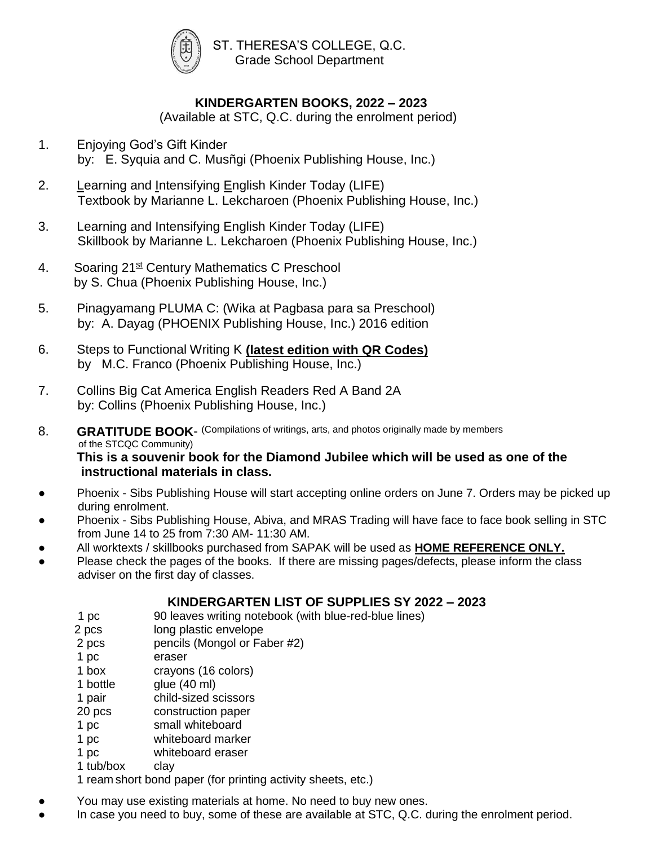

 ST. THERESA'S COLLEGE, Q.C. Grade School Department

## **KINDERGARTEN BOOKS, 2022 – 2023**

(Available at STC, Q.C. during the enrolment period)

- 1. Enjoying God's Gift Kinder by: E. Syquia and C. Musñgi (Phoenix Publishing House, Inc.)
- 2. Learning and Intensifying English Kinder Today (LIFE) Textbook by Marianne L. Lekcharoen (Phoenix Publishing House, Inc.)
- 3. Learning and Intensifying English Kinder Today (LIFE) Skillbook by Marianne L. Lekcharoen (Phoenix Publishing House, Inc.)
- 4. Soaring 21<sup>st</sup> Century Mathematics C Preschool by S. Chua (Phoenix Publishing House, Inc.)
- 5. Pinagyamang PLUMA C: (Wika at Pagbasa para sa Preschool) by: A. Dayag (PHOENIX Publishing House, Inc.) 2016 edition
- 6. Steps to Functional Writing K **(latest edition with QR Codes)** by M.C. Franco (Phoenix Publishing House, Inc.)
- 7. Collins Big Cat America English Readers Red A Band 2A by: Collins (Phoenix Publishing House, Inc.)
- 8. **GRATITUDE BOOK-** (Compilations of writings, arts, and photos originally made by members of the STCQC Community) **This is a souvenir book for the Diamond Jubilee which will be used as one of the**

 **instructional materials in class.**

- Phoenix Sibs Publishing House will start accepting online orders on June 7. Orders may be picked up during enrolment.
- Phoenix Sibs Publishing House, Abiva, and MRAS Trading will have face to face book selling in STC from June 14 to 25 from 7:30 AM- 11:30 AM.
- All worktexts / skillbooks purchased from SAPAK will be used as **HOME REFERENCE ONLY.**
- Please check the pages of the books. If there are missing pages/defects, please inform the class adviser on the first day of classes.

#### **KINDERGARTEN LIST OF SUPPLIES SY 2022 – 2023**

- 1 pc 90 leaves writing notebook (with blue-red-blue lines)
- 2 pcs long plastic envelope
- 2 pcs pencils (Mongol or Faber #2)
- 1 pc eraser
- 1 box crayons (16 colors)
- 1 bottle glue (40 ml)
- 1 pair child-sized scissors
- 20 pcs construction paper
- 1 pc small whiteboard
- 1 pc whiteboard marker
- 1 pc whiteboard eraser
- 1 tub/box clay

1 ream short bond paper (for printing activity sheets, etc.)

You may use existing materials at home. No need to buy new ones.

In case you need to buy, some of these are available at STC, Q.C. during the enrolment period.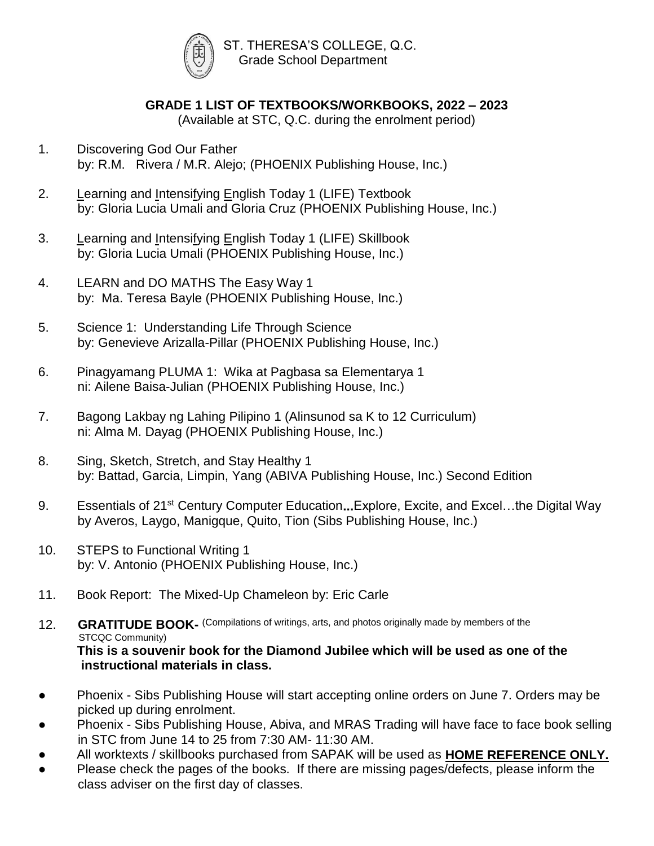

# **GRADE 1 LIST OF TEXTBOOKS/WORKBOOKS, 2022 – 2023**

(Available at STC, Q.C. during the enrolment period)

- 1. Discovering God Our Father by: R.M. Rivera / M.R. Alejo; (PHOENIX Publishing House, Inc.)
- 2. Learning and Intensifying English Today 1 (LIFE) Textbook by: Gloria Lucia Umali and Gloria Cruz (PHOENIX Publishing House, Inc.)
- 3. Learning and Intensifying English Today 1 (LIFE) Skillbook by: Gloria Lucia Umali (PHOENIX Publishing House, Inc.)
- 4. LEARN and DO MATHS The Easy Way 1 by: Ma. Teresa Bayle (PHOENIX Publishing House, Inc.)
- 5. Science 1: Understanding Life Through Science by: Genevieve Arizalla-Pillar (PHOENIX Publishing House, Inc.)
- 6. Pinagyamang PLUMA 1: Wika at Pagbasa sa Elementarya 1 ni: Ailene Baisa-Julian (PHOENIX Publishing House, Inc.)
- 7. Bagong Lakbay ng Lahing Pilipino 1 (Alinsunod sa K to 12 Curriculum) ni: Alma M. Dayag (PHOENIX Publishing House, Inc.)
- 8. Sing, Sketch, Stretch, and Stay Healthy 1 by: Battad, Garcia, Limpin, Yang (ABIVA Publishing House, Inc.) Second Edition
- 9. Essentials of 21st Century Computer Education**...**Explore, Excite, and Excel…the Digital Way by Averos, Laygo, Manigque, Quito, Tion (Sibs Publishing House, Inc.)
- 10. STEPS to Functional Writing 1 by: V. Antonio (PHOENIX Publishing House, Inc.)
- 11. Book Report: The Mixed-Up Chameleon by: Eric Carle

12. **GRATITUDE BOOK-** (Compilations of writings, arts, and photos originally made by members of the STCQC Community) **This is a souvenir book for the Diamond Jubilee which will be used as one of the instructional materials in class.**

- Phoenix Sibs Publishing House will start accepting online orders on June 7. Orders may be picked up during enrolment.
- Phoenix Sibs Publishing House, Abiva, and MRAS Trading will have face to face book selling in STC from June 14 to 25 from 7:30 AM- 11:30 AM.
- All worktexts / skillbooks purchased from SAPAK will be used as **HOME REFERENCE ONLY.**
- Please check the pages of the books. If there are missing pages/defects, please inform the class adviser on the first day of classes.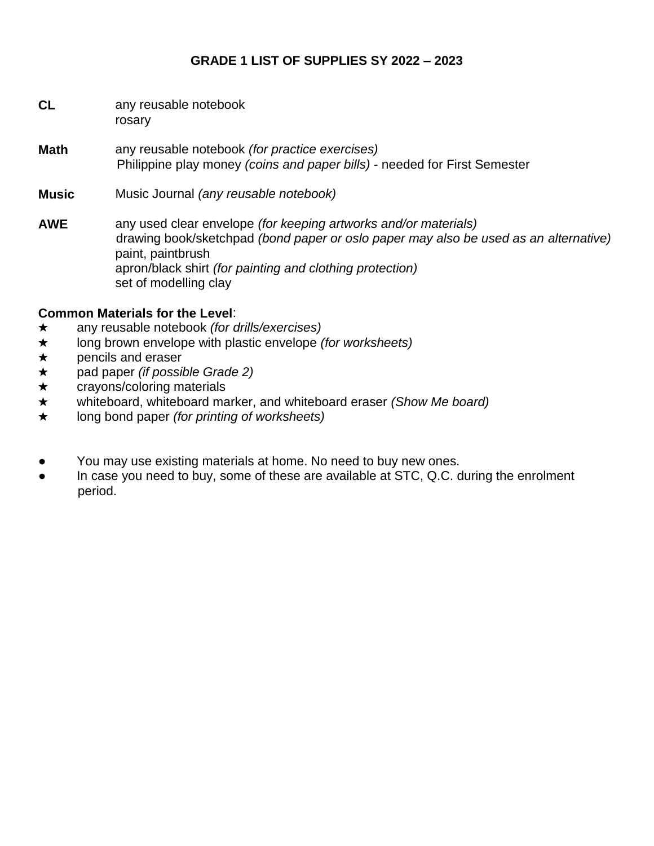#### **GRADE 1 LIST OF SUPPLIES SY 2022 – 2023**

| CL | any reusable notebook |
|----|-----------------------|
|    | rosary                |

- **Math** any reusable notebook *(for practice exercises)* Philippine play money *(coins and paper bills)* - needed for First Semester
- **Music** Music Journal *(any reusable notebook)*
- **AWE** any used clear envelope *(for keeping artworks and/or materials)* drawing book/sketchpad *(bond paper or oslo paper may also be used as an alternative)* paint, paintbrush apron/black shirt *(for painting and clothing protection)* set of modelling clay

#### **Common Materials for the Level**:

- ★ any reusable notebook *(for drills/exercises)*
- ★ long brown envelope with plastic envelope *(for worksheets)*
- ★ pencils and eraser
- ★ pad paper *(if possible Grade 2)*
- ★ crayons/coloring materials
- ★ whiteboard, whiteboard marker, and whiteboard eraser *(Show Me board)*
- ★ long bond paper *(for printing of worksheets)*
- You may use existing materials at home. No need to buy new ones.
- In case you need to buy, some of these are available at STC, Q.C. during the enrolment period.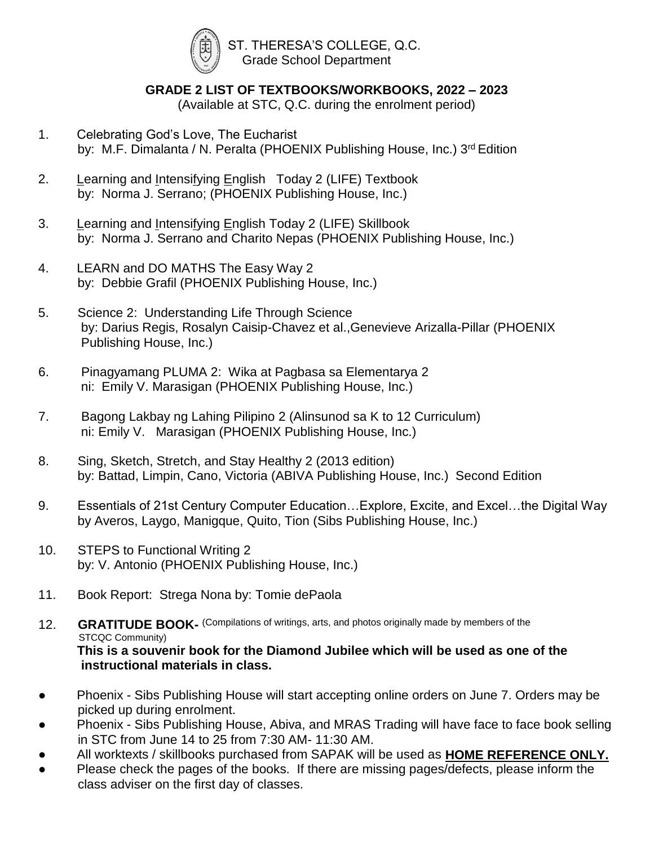

#### **GRADE 2 LIST OF TEXTBOOKS/WORKBOOKS, 2022 – 2023**

(Available at STC, Q.C. during the enrolment period)

- 1. Celebrating God's Love, The Eucharist by: M.F. Dimalanta / N. Peralta (PHOENIX Publishing House, Inc.) 3<sup>rd</sup> Edition
- 2. Learning and Intensifying English Today 2 (LIFE) Textbook by: Norma J. Serrano; (PHOENIX Publishing House, Inc.)
- 3. Learning and Intensifying English Today 2 (LIFE) Skillbook by: Norma J. Serrano and Charito Nepas (PHOENIX Publishing House, Inc.)
- 4. LEARN and DO MATHS The Easy Way 2 by: Debbie Grafil (PHOENIX Publishing House, Inc.)
- 5. Science 2: Understanding Life Through Science by: Darius Regis, Rosalyn Caisip-Chavez et al.,Genevieve Arizalla-Pillar (PHOENIX Publishing House, Inc.)
- 6. Pinagyamang PLUMA 2: Wika at Pagbasa sa Elementarya 2 ni: Emily V. Marasigan (PHOENIX Publishing House, Inc.)
- 7. Bagong Lakbay ng Lahing Pilipino 2 (Alinsunod sa K to 12 Curriculum) ni: Emily V. Marasigan (PHOENIX Publishing House, Inc.)
- 8. Sing, Sketch, Stretch, and Stay Healthy 2 (2013 edition) by: Battad, Limpin, Cano, Victoria (ABIVA Publishing House, Inc.) Second Edition
- 9. Essentials of 21st Century Computer Education…Explore, Excite, and Excel…the Digital Way by Averos, Laygo, Manigque, Quito, Tion (Sibs Publishing House, Inc.)
- 10. STEPS to Functional Writing 2 by: V. Antonio (PHOENIX Publishing House, Inc.)
- 11. Book Report: Strega Nona by: Tomie dePaola

12. **GRATITUDE BOOK-** (Compilations of writings, arts, and photos originally made by members of the STCQC Community) **This is a souvenir book for the Diamond Jubilee which will be used as one of the instructional materials in class.**

- Phoenix Sibs Publishing House will start accepting online orders on June 7. Orders may be picked up during enrolment.
- Phoenix Sibs Publishing House, Abiva, and MRAS Trading will have face to face book selling in STC from June 14 to 25 from 7:30 AM- 11:30 AM.
- All worktexts / skillbooks purchased from SAPAK will be used as **HOME REFERENCE ONLY.**
- Please check the pages of the books. If there are missing pages/defects, please inform the class adviser on the first day of classes.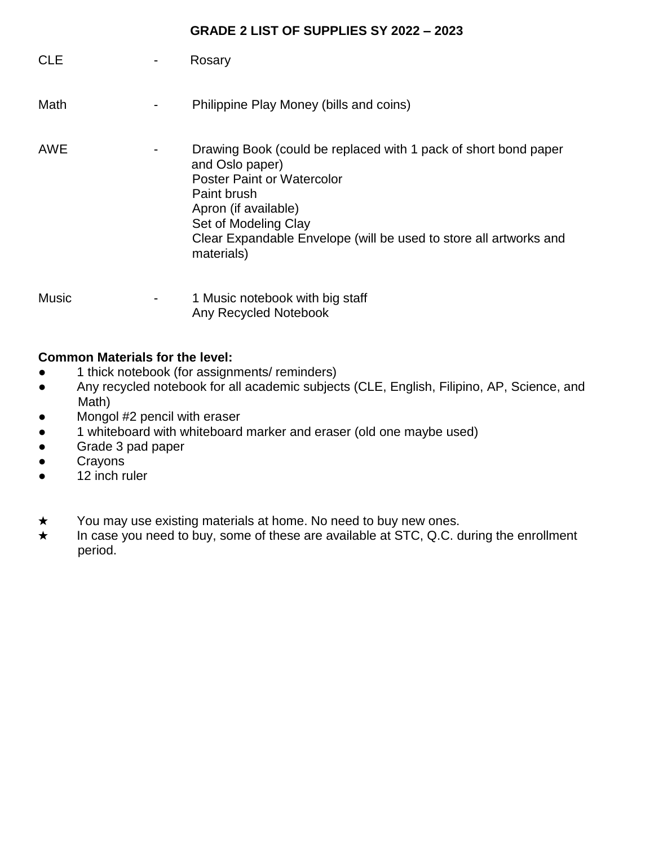#### **GRADE 2 LIST OF SUPPLIES SY 2022 – 2023**

| <b>CLE</b> | Rosary                                                                                                                                                                                                                                                                    |
|------------|---------------------------------------------------------------------------------------------------------------------------------------------------------------------------------------------------------------------------------------------------------------------------|
| Math       | Philippine Play Money (bills and coins)                                                                                                                                                                                                                                   |
| <b>AWE</b> | Drawing Book (could be replaced with 1 pack of short bond paper<br>and Oslo paper)<br><b>Poster Paint or Watercolor</b><br>Paint brush<br>Apron (if available)<br>Set of Modeling Clay<br>Clear Expandable Envelope (will be used to store all artworks and<br>materials) |

Music **Music 1 Music notebook with big staff** Any Recycled Notebook

#### **Common Materials for the level:**

- 1 thick notebook (for assignments/ reminders)
- Any recycled notebook for all academic subjects (CLE, English, Filipino, AP, Science, and Math)
- Mongol #2 pencil with eraser
- 1 whiteboard with whiteboard marker and eraser (old one maybe used)
- Grade 3 pad paper
- Crayons
- 12 inch ruler
- ★ You may use existing materials at home. No need to buy new ones.
- ★ In case you need to buy, some of these are available at STC, Q.C. during the enrollment period.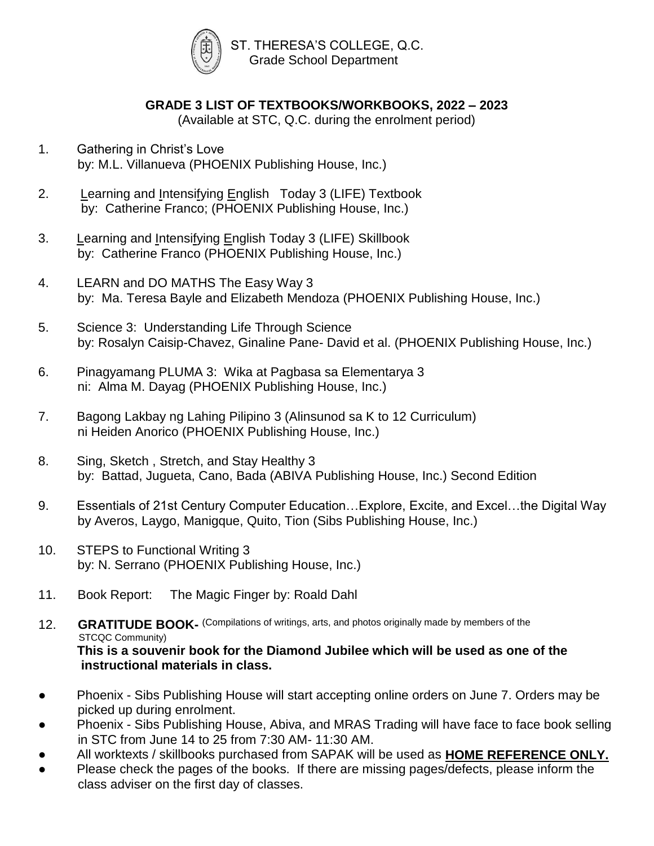

#### **GRADE 3 LIST OF TEXTBOOKS/WORKBOOKS, 2022 – 2023**

(Available at STC, Q.C. during the enrolment period)

- 1. Gathering in Christ's Love by: M.L. Villanueva (PHOENIX Publishing House, Inc.)
- 2. Learning and Intensifying English Today 3 (LIFE) Textbook by: Catherine Franco; (PHOENIX Publishing House, Inc.)
- 3. Learning and Intensifying English Today 3 (LIFE) Skillbook by: Catherine Franco (PHOENIX Publishing House, Inc.)
- 4. LEARN and DO MATHS The Easy Way 3 by: Ma. Teresa Bayle and Elizabeth Mendoza (PHOENIX Publishing House, Inc.)
- 5. Science 3: Understanding Life Through Science by: Rosalyn Caisip-Chavez, Ginaline Pane- David et al. (PHOENIX Publishing House, Inc.)
- 6. Pinagyamang PLUMA 3: Wika at Pagbasa sa Elementarya 3 ni: Alma M. Dayag (PHOENIX Publishing House, Inc.)
- 7. Bagong Lakbay ng Lahing Pilipino 3 (Alinsunod sa K to 12 Curriculum) ni Heiden Anorico (PHOENIX Publishing House, Inc.)
- 8. Sing, Sketch , Stretch, and Stay Healthy 3 by: Battad, Jugueta, Cano, Bada (ABIVA Publishing House, Inc.) Second Edition
- 9. Essentials of 21st Century Computer Education…Explore, Excite, and Excel…the Digital Way by Averos, Laygo, Manigque, Quito, Tion (Sibs Publishing House, Inc.)
- 10. STEPS to Functional Writing 3 by: N. Serrano (PHOENIX Publishing House, Inc.)
- 11. Book Report: The Magic Finger by: Roald Dahl

12. **GRATITUDE BOOK-** (Compilations of writings, arts, and photos originally made by members of the STCQC Community) **This is a souvenir book for the Diamond Jubilee which will be used as one of the instructional materials in class.**

- Phoenix Sibs Publishing House will start accepting online orders on June 7. Orders may be picked up during enrolment.
- Phoenix Sibs Publishing House, Abiva, and MRAS Trading will have face to face book selling in STC from June 14 to 25 from 7:30 AM- 11:30 AM.
- All worktexts / skillbooks purchased from SAPAK will be used as **HOME REFERENCE ONLY.**
- Please check the pages of the books. If there are missing pages/defects, please inform the class adviser on the first day of classes.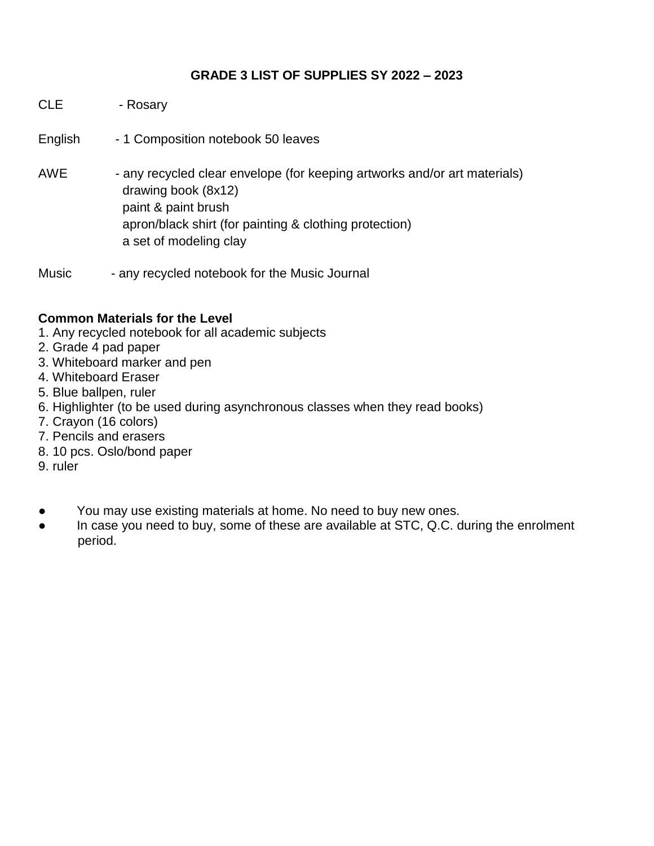#### **GRADE 3 LIST OF SUPPLIES SY 2022 – 2023**

- CLE Rosary
- English 1 Composition notebook 50 leaves
- AWE any recycled clear envelope (for keeping artworks and/or art materials) drawing book (8x12) paint & paint brush apron/black shirt (for painting & clothing protection) a set of modeling clay
- Music any recycled notebook for the Music Journal

#### **Common Materials for the Level**

- 1. Any recycled notebook for all academic subjects
- 2. Grade 4 pad paper
- 3. Whiteboard marker and pen
- 4. Whiteboard Eraser
- 5. Blue ballpen, ruler
- 6. Highlighter (to be used during asynchronous classes when they read books)
- 7. Crayon (16 colors)
- 7. Pencils and erasers
- 8. 10 pcs. Oslo/bond paper
- 9. ruler
- You may use existing materials at home. No need to buy new ones.
- In case you need to buy, some of these are available at STC, Q.C. during the enrolment period.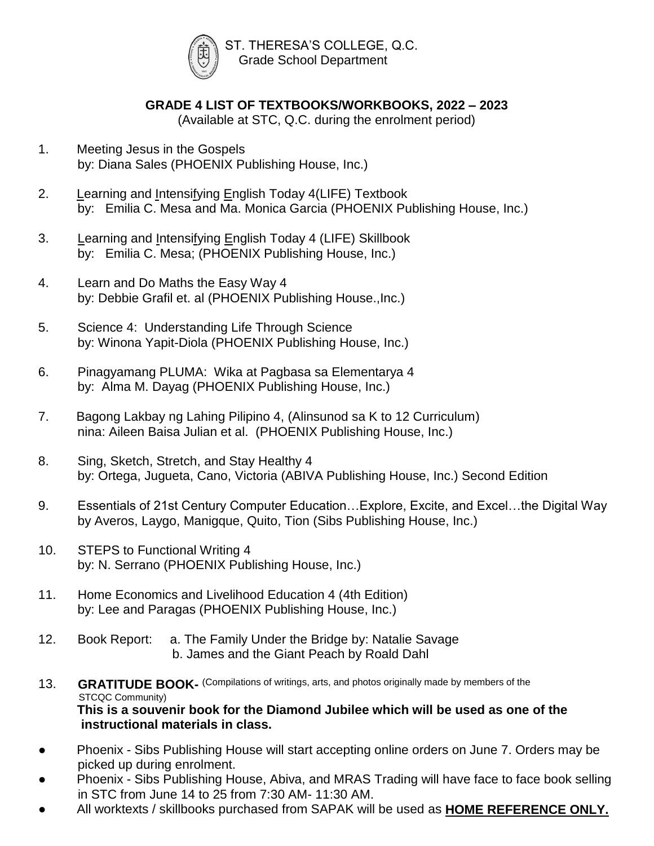

# **GRADE 4 LIST OF TEXTBOOKS/WORKBOOKS, 2022 – 2023**

(Available at STC, Q.C. during the enrolment period)

- 1. Meeting Jesus in the Gospels by: Diana Sales (PHOENIX Publishing House, Inc.)
- 2. Learning and Intensifying English Today 4(LIFE) Textbook by: Emilia C. Mesa and Ma. Monica Garcia (PHOENIX Publishing House, Inc.)
- 3. Learning and Intensifying English Today 4 (LIFE) Skillbook by: Emilia C. Mesa; (PHOENIX Publishing House, Inc.)
- 4. Learn and Do Maths the Easy Way 4 by: Debbie Grafil et. al (PHOENIX Publishing House.,Inc.)
- 5. Science 4: Understanding Life Through Science by: Winona Yapit-Diola (PHOENIX Publishing House, Inc.)
- 6. Pinagyamang PLUMA: Wika at Pagbasa sa Elementarya 4 by: Alma M. Dayag (PHOENIX Publishing House, Inc.)
- 7. Bagong Lakbay ng Lahing Pilipino 4, (Alinsunod sa K to 12 Curriculum) nina: Aileen Baisa Julian et al. (PHOENIX Publishing House, Inc.)
- 8. Sing, Sketch, Stretch, and Stay Healthy 4 by: Ortega, Jugueta, Cano, Victoria (ABIVA Publishing House, Inc.) Second Edition
- 9. Essentials of 21st Century Computer Education…Explore, Excite, and Excel…the Digital Way by Averos, Laygo, Manigque, Quito, Tion (Sibs Publishing House, Inc.)
- 10. STEPS to Functional Writing 4 by: N. Serrano (PHOENIX Publishing House, Inc.)
- 11. Home Economics and Livelihood Education 4 (4th Edition) by: Lee and Paragas (PHOENIX Publishing House, Inc.)
- 12. Book Report: a. The Family Under the Bridge by: Natalie Savage b. James and the Giant Peach by Roald Dahl
- 13. **GRATITUDE BOOK-** (Compilations of writings, arts, and photos originally made by members of the STCQC Community) **This is a souvenir book for the Diamond Jubilee which will be used as one of the instructional materials in class.**
- Phoenix Sibs Publishing House will start accepting online orders on June 7. Orders may be picked up during enrolment.
- Phoenix Sibs Publishing House, Abiva, and MRAS Trading will have face to face book selling in STC from June 14 to 25 from 7:30 AM- 11:30 AM.
- All worktexts / skillbooks purchased from SAPAK will be used as **HOME REFERENCE ONLY.**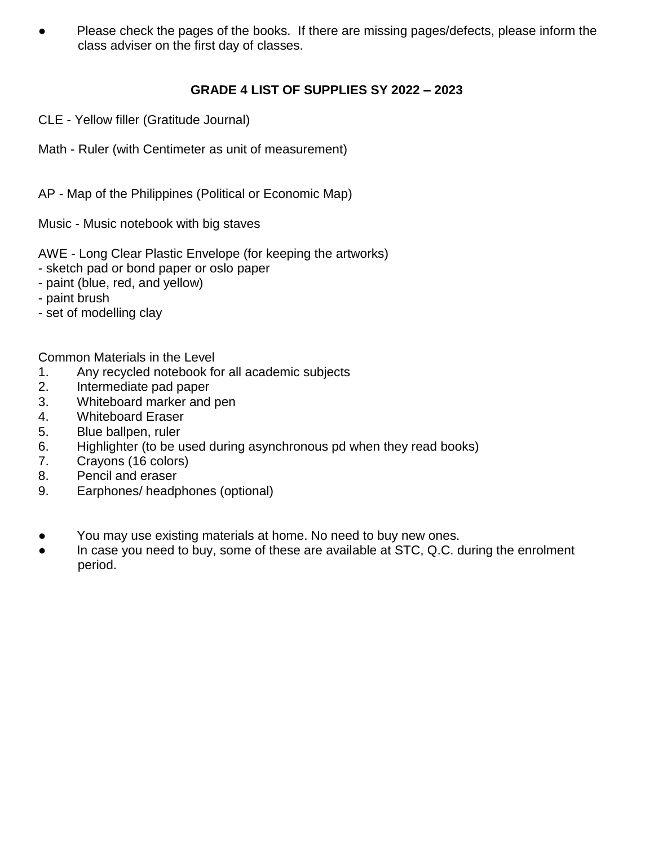Please check the pages of the books. If there are missing pages/defects, please inform the class adviser on the first day of classes.

## **GRADE 4 LIST OF SUPPLIES SY 2022 – 2023**

- CLE Yellow filler (Gratitude Journal)
- Math Ruler (with Centimeter as unit of measurement)

AP - Map of the Philippines (Political or Economic Map)

Music - Music notebook with big staves

AWE - Long Clear Plastic Envelope (for keeping the artworks)

- sketch pad or bond paper or oslo paper
- paint (blue, red, and yellow)
- paint brush
- set of modelling clay

Common Materials in the Level

- 1. Any recycled notebook for all academic subjects
- 2. Intermediate pad paper
- 3. Whiteboard marker and pen
- 4. Whiteboard Eraser
- 5. Blue ballpen, ruler
- 6. Highlighter (to be used during asynchronous pd when they read books)
- 7. Crayons (16 colors)
- 8. Pencil and eraser
- 9. Earphones/ headphones (optional)
- You may use existing materials at home. No need to buy new ones.
- In case you need to buy, some of these are available at STC, Q.C. during the enrolment period.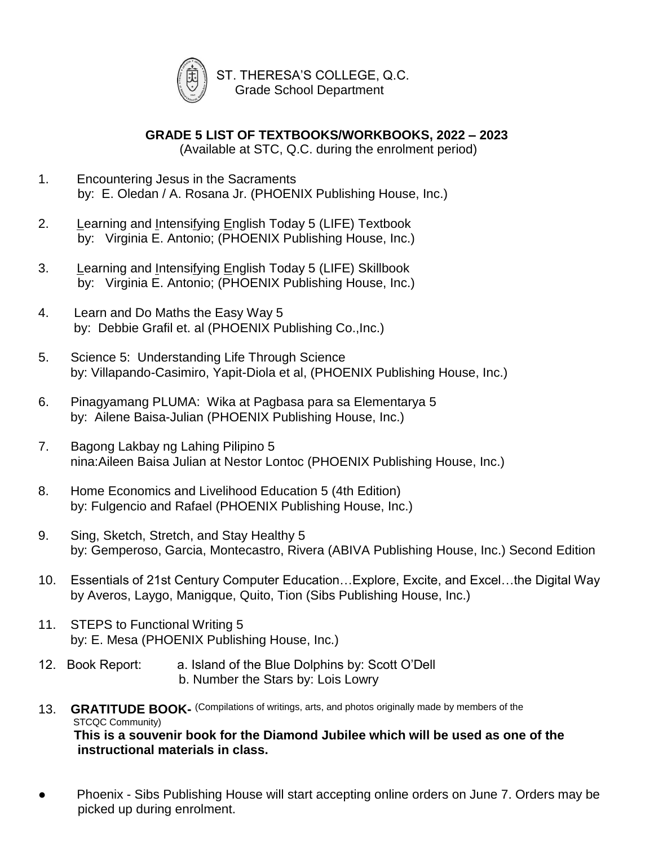

 ST. THERESA'S COLLEGE, Q.C. Grade School Department

**GRADE 5 LIST OF TEXTBOOKS/WORKBOOKS, 2022 – 2023**

(Available at STC, Q.C. during the enrolment period)

- 1. Encountering Jesus in the Sacraments by: E. Oledan / A. Rosana Jr. (PHOENIX Publishing House, Inc.)
- 2. Learning and Intensifying English Today 5 (LIFE) Textbook by: Virginia E. Antonio; (PHOENIX Publishing House, Inc.)
- 3. Learning and Intensifying English Today 5 (LIFE) Skillbook by: Virginia E. Antonio; (PHOENIX Publishing House, Inc.)
- 4. Learn and Do Maths the Easy Way 5 by: Debbie Grafil et. al (PHOENIX Publishing Co.,Inc.)
- 5. Science 5: Understanding Life Through Science by: Villapando-Casimiro, Yapit-Diola et al, (PHOENIX Publishing House, Inc.)
- 6. Pinagyamang PLUMA: Wika at Pagbasa para sa Elementarya 5 by: Ailene Baisa-Julian (PHOENIX Publishing House, Inc.)
- 7. Bagong Lakbay ng Lahing Pilipino 5 nina:Aileen Baisa Julian at Nestor Lontoc (PHOENIX Publishing House, Inc.)
- 8. Home Economics and Livelihood Education 5 (4th Edition) by: Fulgencio and Rafael (PHOENIX Publishing House, Inc.)
- 9. Sing, Sketch, Stretch, and Stay Healthy 5 by: Gemperoso, Garcia, Montecastro, Rivera (ABIVA Publishing House, Inc.) Second Edition
- 10. Essentials of 21st Century Computer Education…Explore, Excite, and Excel…the Digital Way by Averos, Laygo, Manigque, Quito, Tion (Sibs Publishing House, Inc.)
- 11. STEPS to Functional Writing 5 by: E. Mesa (PHOENIX Publishing House, Inc.)
- 12. Book Report: a. Island of the Blue Dolphins by: Scott O'Dell b. Number the Stars by: Lois Lowry
- 13. **GRATITUDE BOOK-** (Compilations of writings, arts, and photos originally made by members of the STCQC Community) **This is a souvenir book for the Diamond Jubilee which will be used as one of the instructional materials in class.**
- Phoenix Sibs Publishing House will start accepting online orders on June 7. Orders may be picked up during enrolment.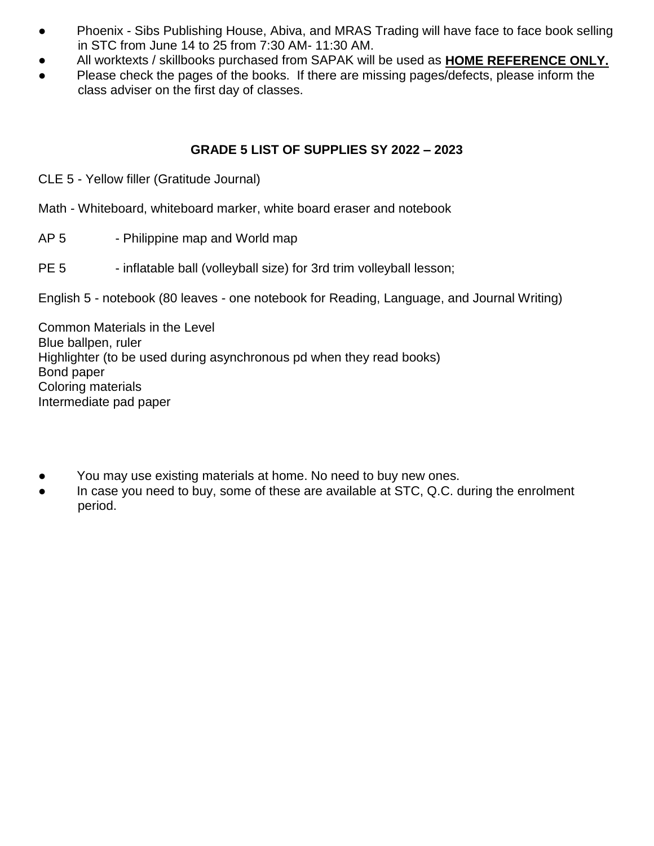- Phoenix Sibs Publishing House, Abiva, and MRAS Trading will have face to face book selling in STC from June 14 to 25 from 7:30 AM- 11:30 AM.
- All worktexts / skillbooks purchased from SAPAK will be used as **HOME REFERENCE ONLY.**
- Please check the pages of the books. If there are missing pages/defects, please inform the class adviser on the first day of classes.

#### **GRADE 5 LIST OF SUPPLIES SY 2022 – 2023**

- CLE 5 Yellow filler (Gratitude Journal)
- Math Whiteboard, whiteboard marker, white board eraser and notebook
- AP 5 Philippine map and World map
- PE 5 inflatable ball (volleyball size) for 3rd trim volleyball lesson;

English 5 - notebook (80 leaves - one notebook for Reading, Language, and Journal Writing)

Common Materials in the Level Blue ballpen, ruler Highlighter (to be used during asynchronous pd when they read books) Bond paper Coloring materials Intermediate pad paper

- You may use existing materials at home. No need to buy new ones.
- In case you need to buy, some of these are available at STC, Q.C. during the enrolment period.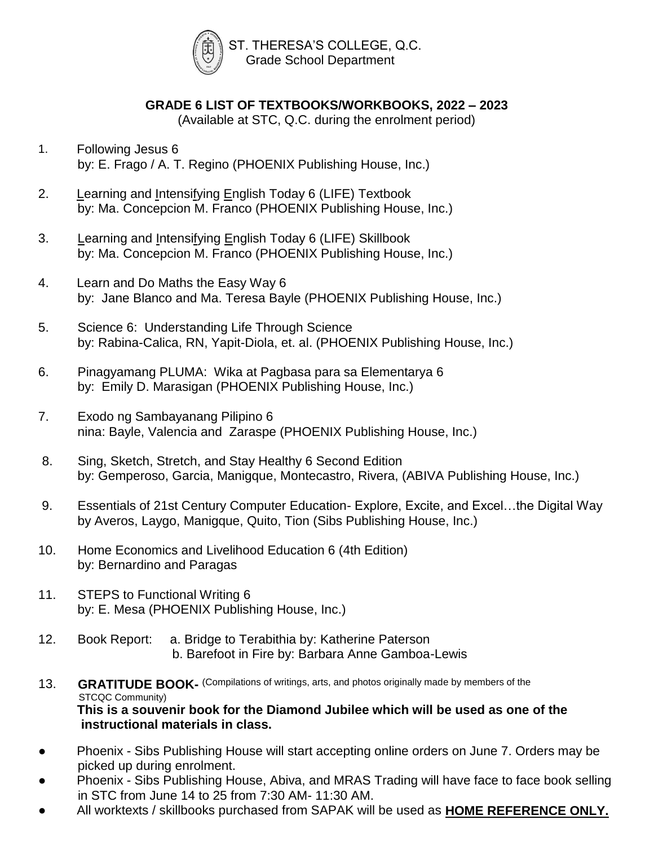

## **GRADE 6 LIST OF TEXTBOOKS/WORKBOOKS, 2022 – 2023**

(Available at STC, Q.C. during the enrolment period)

- 1. Following Jesus 6 by: E. Frago / A. T. Regino (PHOENIX Publishing House, Inc.)
- 2. Learning and Intensifying English Today 6 (LIFE) Textbook by: Ma. Concepcion M. Franco (PHOENIX Publishing House, Inc.)
- 3. Learning and Intensifying English Today 6 (LIFE) Skillbook by: Ma. Concepcion M. Franco (PHOENIX Publishing House, Inc.)
- 4. Learn and Do Maths the Easy Way 6 by: Jane Blanco and Ma. Teresa Bayle (PHOENIX Publishing House, Inc.)
- 5. Science 6: Understanding Life Through Science by: Rabina-Calica, RN, Yapit-Diola, et. al. (PHOENIX Publishing House, Inc.)
- 6. Pinagyamang PLUMA: Wika at Pagbasa para sa Elementarya 6 by: Emily D. Marasigan (PHOENIX Publishing House, Inc.)
- 7. Exodo ng Sambayanang Pilipino 6 nina: Bayle, Valencia and Zaraspe (PHOENIX Publishing House, Inc.)
- 8. Sing, Sketch, Stretch, and Stay Healthy 6 Second Edition by: Gemperoso, Garcia, Manigque, Montecastro, Rivera, (ABIVA Publishing House, Inc.)
- 9. Essentials of 21st Century Computer Education- Explore, Excite, and Excel…the Digital Way by Averos, Laygo, Manigque, Quito, Tion (Sibs Publishing House, Inc.)
- 10. Home Economics and Livelihood Education 6 (4th Edition) by: Bernardino and Paragas
- 11. STEPS to Functional Writing 6 by: E. Mesa (PHOENIX Publishing House, Inc.)
- 12. Book Report: a. Bridge to Terabithia by: Katherine Paterson b. Barefoot in Fire by: Barbara Anne Gamboa-Lewis

#### 13. **GRATITUDE BOOK-** (Compilations of writings, arts, and photos originally made by members of the STCQC Community) **This is a souvenir book for the Diamond Jubilee which will be used as one of the instructional materials in class.**

- Phoenix Sibs Publishing House will start accepting online orders on June 7. Orders may be picked up during enrolment.
- Phoenix Sibs Publishing House, Abiva, and MRAS Trading will have face to face book selling in STC from June 14 to 25 from 7:30 AM- 11:30 AM.
- All worktexts / skillbooks purchased from SAPAK will be used as **HOME REFERENCE ONLY.**